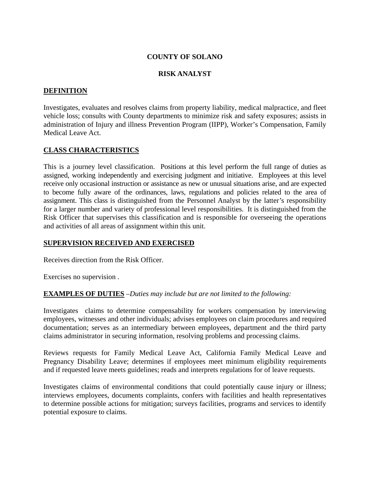### **COUNTY OF SOLANO**

#### **RISK ANALYST**

### **DEFINITION**

Investigates, evaluates and resolves claims from property liability, medical malpractice, and fleet vehicle loss; consults with County departments to minimize risk and safety exposures; assists in administration of Injury and illness Prevention Program (IIPP), Worker's Compensation, Family Medical Leave Act.

### **CLASS CHARACTERISTICS**

This is a journey level classification. Positions at this level perform the full range of duties as assigned, working independently and exercising judgment and initiative. Employees at this level receive only occasional instruction or assistance as new or unusual situations arise, and are expected to become fully aware of the ordinances, laws, regulations and policies related to the area of assignment. This class is distinguished from the Personnel Analyst by the latter's responsibility for a larger number and variety of professional level responsibilities. It is distinguished from the Risk Officer that supervises this classification and is responsible for overseeing the operations and activities of all areas of assignment within this unit.

#### **SUPERVISION RECEIVED AND EXERCISED**

Receives direction from the Risk Officer.

Exercises no supervision .

### **EXAMPLES OF DUTIES** *–Duties may include but are not limited to the following:*

Investigates claims to determine compensability for workers compensation by interviewing employees, witnesses and other individuals; advises employees on claim procedures and required documentation; serves as an intermediary between employees, department and the third party claims administrator in securing information, resolving problems and processing claims.

Reviews requests for Family Medical Leave Act, California Family Medical Leave and Pregnancy Disability Leave; determines if employees meet minimum eligibility requirements and if requested leave meets guidelines; reads and interprets regulations for of leave requests.

Investigates claims of environmental conditions that could potentially cause injury or illness; interviews employees, documents complaints, confers with facilities and health representatives to determine possible actions for mitigation; surveys facilities, programs and services to identify potential exposure to claims.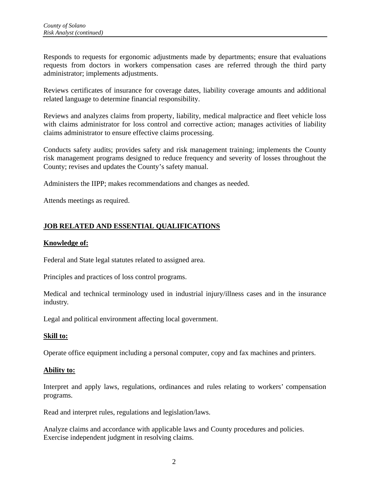Responds to requests for ergonomic adjustments made by departments; ensure that evaluations requests from doctors in workers compensation cases are referred through the third party administrator; implements adjustments.

Reviews certificates of insurance for coverage dates, liability coverage amounts and additional related language to determine financial responsibility.

Reviews and analyzes claims from property, liability, medical malpractice and fleet vehicle loss with claims administrator for loss control and corrective action; manages activities of liability claims administrator to ensure effective claims processing.

Conducts safety audits; provides safety and risk management training; implements the County risk management programs designed to reduce frequency and severity of losses throughout the County; revises and updates the County's safety manual.

Administers the IIPP; makes recommendations and changes as needed.

Attends meetings as required.

# **JOB RELATED AND ESSENTIAL QUALIFICATIONS**

### **Knowledge of:**

Federal and State legal statutes related to assigned area.

Principles and practices of loss control programs.

Medical and technical terminology used in industrial injury/illness cases and in the insurance industry.

Legal and political environment affecting local government.

# **Skill to:**

Operate office equipment including a personal computer, copy and fax machines and printers.

### **Ability to:**

Interpret and apply laws, regulations, ordinances and rules relating to workers' compensation programs.

Read and interpret rules, regulations and legislation/laws.

Analyze claims and accordance with applicable laws and County procedures and policies. Exercise independent judgment in resolving claims.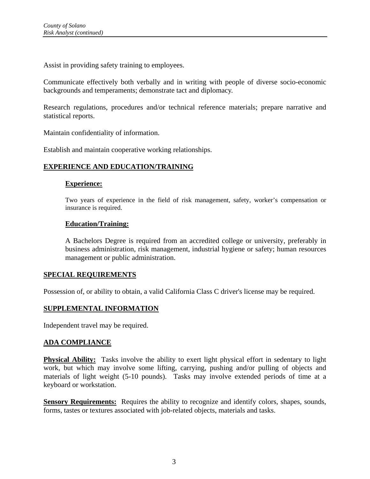Assist in providing safety training to employees.

Communicate effectively both verbally and in writing with people of diverse socio-economic backgrounds and temperaments; demonstrate tact and diplomacy.

Research regulations, procedures and/or technical reference materials; prepare narrative and statistical reports.

Maintain confidentiality of information.

Establish and maintain cooperative working relationships.

# **EXPERIENCE AND EDUCATION/TRAINING**

### **Experience:**

Two years of experience in the field of risk management, safety, worker's compensation or insurance is required.

### **Education/Training:**

A Bachelors Degree is required from an accredited college or university, preferably in business administration, risk management, industrial hygiene or safety; human resources management or public administration.

### **SPECIAL REQUIREMENTS**

Possession of, or ability to obtain, a valid California Class C driver's license may be required.

# **SUPPLEMENTAL INFORMATION**

Independent travel may be required.

# **ADA COMPLIANCE**

**Physical Ability:** Tasks involve the ability to exert light physical effort in sedentary to light work, but which may involve some lifting, carrying, pushing and/or pulling of objects and materials of light weight (5-10 pounds). Tasks may involve extended periods of time at a keyboard or workstation.

**Sensory Requirements:** Requires the ability to recognize and identify colors, shapes, sounds, forms, tastes or textures associated with job-related objects, materials and tasks.